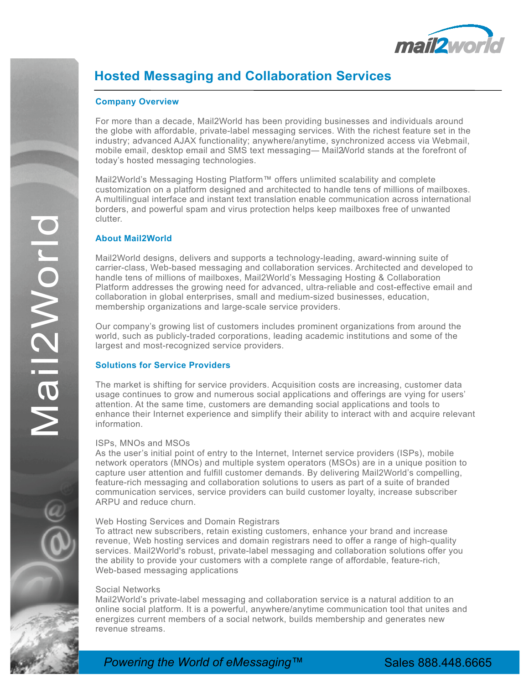

# **Hosted Messaging and Collaboration Services**

## **Company Overview**

For more than a decade, Mail2World has been providing businesses and individuals around the globe with affordable, private-label messaging services. With the richest feature set in the industry; advanced AJAX functionality; anywhere/anytime, synchronized access via Webmail, mobile email, desktop email and SMS text messaging― Mail2World stands at the forefront of today's hosted messaging technologies.

Mail2World's Messaging Hosting Platform™ offers unlimited scalability and complete customization on a platform designed and architected to handle tens of millions of mailboxes. A multilingual interface and instant text translation enable communication across international borders, and powerful spam and virus protection helps keep mailboxes free of unwanted clutter.

## **About Mail2World**

Mail2World designs, delivers and supports a technology-leading, award-winning suite of carrier-class, Web-based messaging and collaboration services. Architected and developed to handle tens of millions of mailboxes, Mail2World's Messaging Hosting & Collaboration Platform addresses the growing need for advanced, ultra-reliable and cost-effective email and collaboration in global enterprises, small and medium-sized businesses, education, membership organizations and large-scale service providers.

Our company's growing list of customers includes prominent organizations from around the world, such as publicly-traded corporations, leading academic institutions and some of the largest and most-recognized service providers.

## **Solutions for Service Providers**

The market is shifting for service providers. Acquisition costs are increasing, customer data usage continues to grow and numerous social applications and offerings are vying for users' attention. At the same time, customers are demanding social applications and tools to enhance their Internet experience and simplify their ability to interact with and acquire relevant information.

#### ISPs, MNOs and MSOs

As the user's initial point of entry to the Internet, Internet service providers (ISPs), mobile network operators (MNOs) and multiple system operators (MSOs) are in a unique position to capture user attention and fulfill customer demands. By delivering Mail2World's compelling, feature-rich messaging and collaboration solutions to users as part of a suite of branded communication services, service providers can build customer loyalty, increase subscriber ARPU and reduce churn.

#### Web Hosting Services and Domain Registrars

To attract new subscribers, retain existing customers, enhance your brand and increase revenue, Web hosting services and domain registrars need to offer a range of high-quality services. Mail2World's robust, private-label messaging and collaboration solutions offer you the ability to provide your customers with a complete range of affordable, feature-rich, Web-based messaging applications

#### Social Networks

Mail2World's private-label messaging and collaboration service is a natural addition to an online social platform. It is a powerful, anywhere/anytime communication tool that unites and energizes current members of a social network, builds membership and generates new revenue streams.